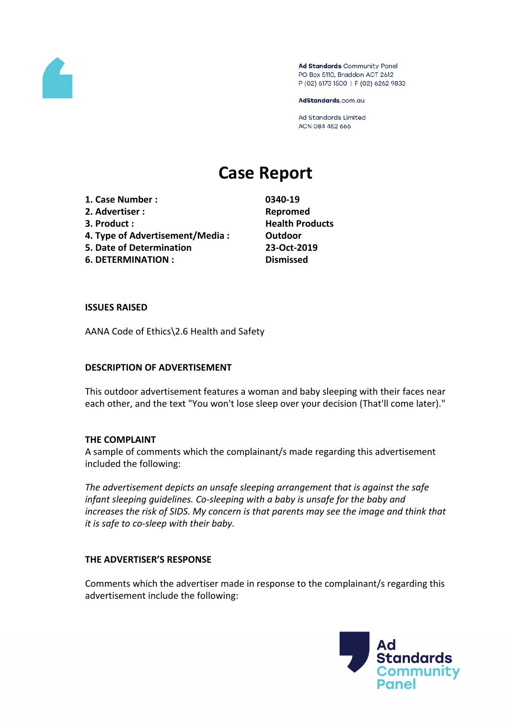

Ad Standards Community Panel PO Box 5110, Braddon ACT 2612 P (02) 6173 1500 | F (02) 6262 9833

AdStandards.com.au

Ad Standards Limited ACN 084 452 666

# **Case Report**

- **1. Case Number : 0340-19**
- **2. Advertiser : Repromed**
- 
- **4. Type of Advertisement/Media : Outdoor**
- **5. Date of Determination 23-Oct-2019**
- **6. DETERMINATION : Dismissed**

**3. Product : Health Products**

### **ISSUES RAISED**

AANA Code of Ethics\2.6 Health and Safety

## **DESCRIPTION OF ADVERTISEMENT**

This outdoor advertisement features a woman and baby sleeping with their faces near each other, and the text "You won't lose sleep over your decision (That'll come later)."

## **THE COMPLAINT**

A sample of comments which the complainant/s made regarding this advertisement included the following:

*The advertisement depicts an unsafe sleeping arrangement that is against the safe infant sleeping guidelines. Co-sleeping with a baby is unsafe for the baby and increases the risk of SIDS. My concern is that parents may see the image and think that it is safe to co-sleep with their baby.*

## **THE ADVERTISER'S RESPONSE**

Comments which the advertiser made in response to the complainant/s regarding this advertisement include the following:

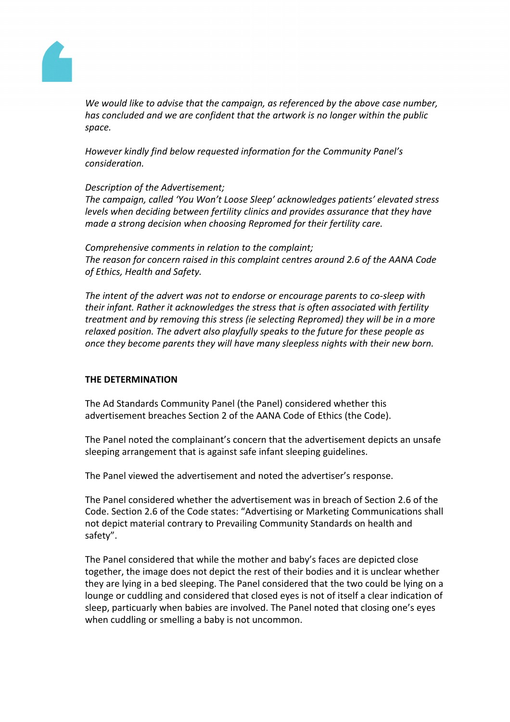

*We would like to advise that the campaign, as referenced by the above case number, has concluded and we are confident that the artwork is no longer within the public space.* 

*However kindly find below requested information for the Community Panel's consideration.*

*Description of the Advertisement;*

*The campaign, called 'You Won't Loose Sleep' acknowledges patients' elevated stress levels when deciding between fertility clinics and provides assurance that they have made a strong decision when choosing Repromed for their fertility care.* 

*Comprehensive comments in relation to the complaint; The reason for concern raised in this complaint centres around 2.6 of the AANA Code of Ethics, Health and Safety.*

*The intent of the advert was not to endorse or encourage parents to co-sleep with their infant. Rather it acknowledges the stress that is often associated with fertility treatment and by removing this stress (ie selecting Repromed) they will be in a more relaxed position. The advert also playfully speaks to the future for these people as once they become parents they will have many sleepless nights with their new born.*

## **THE DETERMINATION**

The Ad Standards Community Panel (the Panel) considered whether this advertisement breaches Section 2 of the AANA Code of Ethics (the Code).

The Panel noted the complainant's concern that the advertisement depicts an unsafe sleeping arrangement that is against safe infant sleeping guidelines.

The Panel viewed the advertisement and noted the advertiser's response.

The Panel considered whether the advertisement was in breach of Section 2.6 of the Code. Section 2.6 of the Code states: "Advertising or Marketing Communications shall not depict material contrary to Prevailing Community Standards on health and safety".

The Panel considered that while the mother and baby's faces are depicted close together, the image does not depict the rest of their bodies and it is unclear whether they are lying in a bed sleeping. The Panel considered that the two could be lying on a lounge or cuddling and considered that closed eyes is not of itself a clear indication of sleep, particuarly when babies are involved. The Panel noted that closing one's eyes when cuddling or smelling a baby is not uncommon.